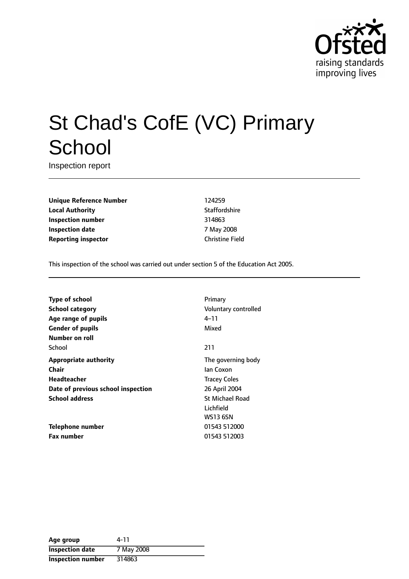

# St Chad's CofE (VC) Primary **School**

Inspection report

**Unique Reference Number** 124259 **Local Authority Contract Contract Contract Authority** Staffordshire **Inspection number** 314863 **Inspection date** 7 May 2008 **Reporting inspector** Christine Field

This inspection of the school was carried out under section 5 of the Education Act 2005.

**Type of school** Primary **School category CONSIDER SCHOOL CATEGORY** Voluntary controlled **Age** range of pupils 4-11 **Gender of pupils** Mixed **Number on roll** School 211 **Appropriate authority** The governing body **Chair** Ian Coxon **Headteacher** Tracey Coles **Date of previous school inspection** 26 April 2004 **School address** St Michael Road

**Telephone number** 01543 512000 **Fax number** 01543 512003

Lichfield WS13 6SN

| Age group                | 4-11       |
|--------------------------|------------|
| <b>Inspection date</b>   | 7 May 2008 |
| <b>Inspection number</b> | 314863     |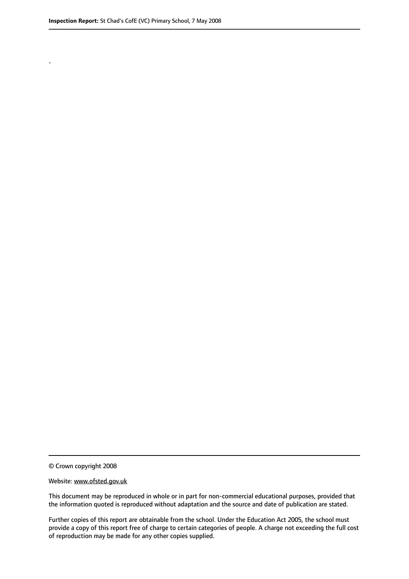.

© Crown copyright 2008

#### Website: www.ofsted.gov.uk

This document may be reproduced in whole or in part for non-commercial educational purposes, provided that the information quoted is reproduced without adaptation and the source and date of publication are stated.

Further copies of this report are obtainable from the school. Under the Education Act 2005, the school must provide a copy of this report free of charge to certain categories of people. A charge not exceeding the full cost of reproduction may be made for any other copies supplied.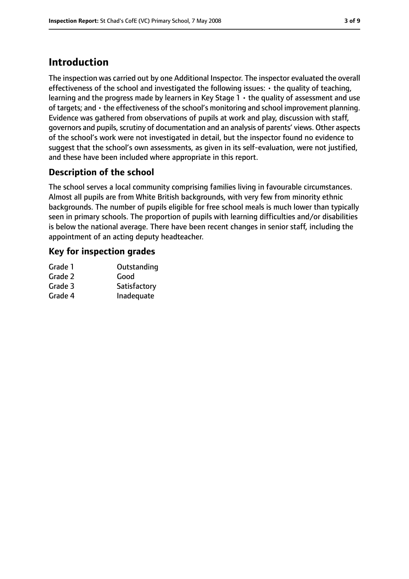# **Introduction**

The inspection was carried out by one Additional Inspector. The inspector evaluated the overall effectiveness of the school and investigated the following issues: • the quality of teaching, learning and the progress made by learners in Key Stage  $1 \cdot$  the quality of assessment and use of targets; and • the effectiveness of the school's monitoring and school improvement planning. Evidence was gathered from observations of pupils at work and play, discussion with staff, governors and pupils, scrutiny of documentation and an analysis of parents' views. Other aspects of the school's work were not investigated in detail, but the inspector found no evidence to suggest that the school's own assessments, as given in its self-evaluation, were not justified, and these have been included where appropriate in this report.

# **Description of the school**

The school serves a local community comprising families living in favourable circumstances. Almost all pupils are from White British backgrounds, with very few from minority ethnic backgrounds. The number of pupils eligible for free school meals is much lower than typically seen in primary schools. The proportion of pupils with learning difficulties and/or disabilities is below the national average. There have been recent changes in senior staff, including the appointment of an acting deputy headteacher.

## **Key for inspection grades**

| Outstanding  |
|--------------|
| Good         |
| Satisfactory |
| Inadequate   |
|              |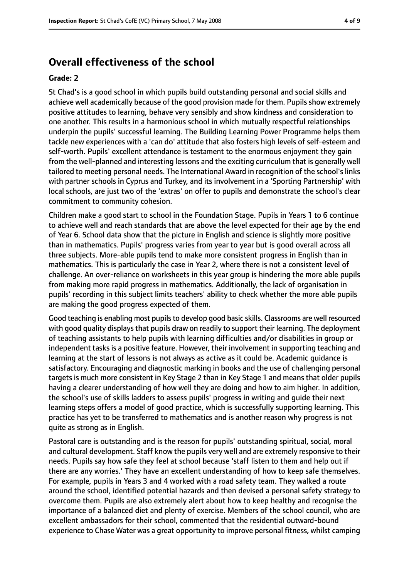# **Overall effectiveness of the school**

#### **Grade: 2**

St Chad's is a good school in which pupils build outstanding personal and social skills and achieve well academically because of the good provision made for them. Pupils show extremely positive attitudes to learning, behave very sensibly and show kindness and consideration to one another. This results in a harmonious school in which mutually respectful relationships underpin the pupils' successful learning. The Building Learning Power Programme helps them tackle new experiences with a 'can do' attitude that also fosters high levels of self-esteem and self-worth. Pupils' excellent attendance is testament to the enormous enjoyment they gain from the well-planned and interesting lessons and the exciting curriculum that is generally well tailored to meeting personal needs. The International Award in recognition of the school's links with partner schools in Cyprus and Turkey, and its involvement in a 'Sporting Partnership' with local schools, are just two of the 'extras' on offer to pupils and demonstrate the school's clear commitment to community cohesion.

Children make a good start to school in the Foundation Stage. Pupils in Years 1 to 6 continue to achieve well and reach standards that are above the level expected for their age by the end of Year 6. School data show that the picture in English and science is slightly more positive than in mathematics. Pupils' progress varies from year to year but is good overall across all three subjects. More-able pupils tend to make more consistent progress in English than in mathematics. This is particularly the case in Year 2, where there is not a consistent level of challenge. An over-reliance on worksheets in this year group is hindering the more able pupils from making more rapid progress in mathematics. Additionally, the lack of organisation in pupils' recording in this subject limits teachers' ability to check whether the more able pupils are making the good progress expected of them.

Good teaching is enabling most pupilsto develop good basic skills. Classrooms are well resourced with good quality displays that pupils draw on readily to support their learning. The deployment of teaching assistants to help pupils with learning difficulties and/or disabilities in group or independent tasks is a positive feature. However, their involvement in supporting teaching and learning at the start of lessons is not always as active as it could be. Academic guidance is satisfactory. Encouraging and diagnostic marking in books and the use of challenging personal targets is much more consistent in Key Stage 2 than in Key Stage 1 and means that older pupils having a clearer understanding of how well they are doing and how to aim higher. In addition, the school's use of skills ladders to assess pupils' progress in writing and guide their next learning steps offers a model of good practice, which is successfully supporting learning. This practice has yet to be transferred to mathematics and is another reason why progress is not quite as strong as in English.

Pastoral care is outstanding and is the reason for pupils' outstanding spiritual, social, moral and cultural development. Staff know the pupils very well and are extremely responsive to their needs. Pupils say how safe they feel at school because 'staff listen to them and help out if there are any worries.' They have an excellent understanding of how to keep safe themselves. For example, pupils in Years 3 and 4 worked with a road safety team. They walked a route around the school, identified potential hazards and then devised a personal safety strategy to overcome them. Pupils are also extremely alert about how to keep healthy and recognise the importance of a balanced diet and plenty of exercise. Members of the school council, who are excellent ambassadors for their school, commented that the residential outward-bound experience to Chase Water was a great opportunity to improve personal fitness, whilst camping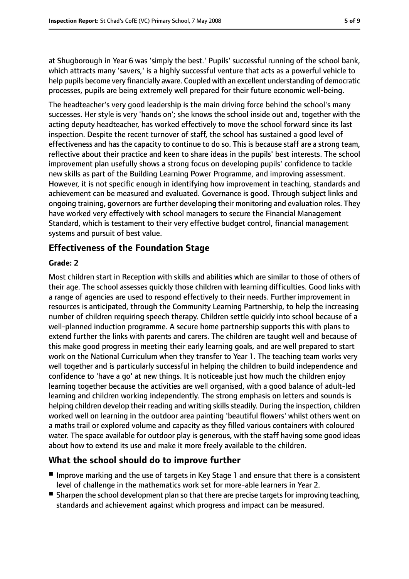at Shugborough in Year 6 was 'simply the best.' Pupils' successful running of the school bank, which attracts many 'savers,' is a highly successful venture that acts as a powerful vehicle to help pupils become very financially aware. Coupled with an excellent understanding of democratic processes, pupils are being extremely well prepared for their future economic well-being.

The headteacher's very good leadership is the main driving force behind the school's many successes. Her style is very 'hands on'; she knows the school inside out and, together with the acting deputy headteacher, has worked effectively to move the school forward since its last inspection. Despite the recent turnover of staff, the school has sustained a good level of effectiveness and has the capacity to continue to do so. This is because staff are a strong team, reflective about their practice and keen to share ideas in the pupils' best interests. The school improvement plan usefully shows a strong focus on developing pupils' confidence to tackle new skills as part of the Building Learning Power Programme, and improving assessment. However, it is not specific enough in identifying how improvement in teaching, standards and achievement can be measured and evaluated. Governance is good. Through subject links and ongoing training, governors are further developing their monitoring and evaluation roles. They have worked very effectively with school managers to secure the Financial Management Standard, which is testament to their very effective budget control, financial management systems and pursuit of best value.

## **Effectiveness of the Foundation Stage**

#### **Grade: 2**

Most children start in Reception with skills and abilities which are similar to those of others of their age. The school assesses quickly those children with learning difficulties. Good links with a range of agencies are used to respond effectively to their needs. Further improvement in resources is anticipated, through the Community Learning Partnership, to help the increasing number of children requiring speech therapy. Children settle quickly into school because of a well-planned induction programme. A secure home partnership supports this with plans to extend further the links with parents and carers. The children are taught well and because of this make good progress in meeting their early learning goals, and are well prepared to start work on the National Curriculum when they transfer to Year 1. The teaching team works very well together and is particularly successful in helping the children to build independence and confidence to 'have a go' at new things. It is noticeable just how much the children enjoy learning together because the activities are well organised, with a good balance of adult-led learning and children working independently. The strong emphasis on letters and sounds is helping children develop their reading and writing skills steadily. During the inspection, children worked well on learning in the outdoor area painting 'beautiful flowers' whilst others went on a maths trail or explored volume and capacity as they filled various containers with coloured water. The space available for outdoor play is generous, with the staff having some good ideas about how to extend its use and make it more freely available to the children.

# **What the school should do to improve further**

- Improve marking and the use of targets in Key Stage 1 and ensure that there is a consistent level of challenge in the mathematics work set for more-able learners in Year 2.
- Sharpen the school development plan so that there are precise targets for improving teaching, standards and achievement against which progress and impact can be measured.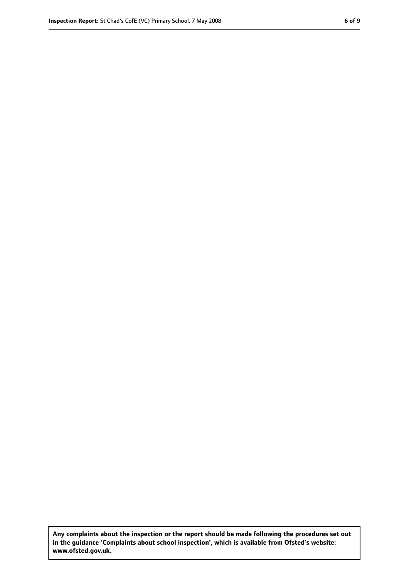**Any complaints about the inspection or the report should be made following the procedures set out in the guidance 'Complaints about school inspection', which is available from Ofsted's website: www.ofsted.gov.uk.**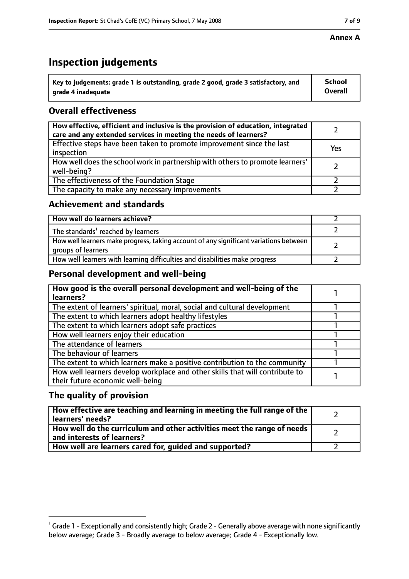# **Inspection judgements**

| $^{\backprime}$ Key to judgements: grade 1 is outstanding, grade 2 good, grade 3 satisfactory, and | <b>School</b>  |
|----------------------------------------------------------------------------------------------------|----------------|
| arade 4 inadeguate                                                                                 | <b>Overall</b> |

# **Overall effectiveness**

| How effective, efficient and inclusive is the provision of education, integrated<br>care and any extended services in meeting the needs of learners? |     |
|------------------------------------------------------------------------------------------------------------------------------------------------------|-----|
| Effective steps have been taken to promote improvement since the last<br>inspection                                                                  | Yes |
| How well does the school work in partnership with others to promote learners'<br>well-being?                                                         |     |
| The effectiveness of the Foundation Stage                                                                                                            |     |
| The capacity to make any necessary improvements                                                                                                      |     |

# **Achievement and standards**

| How well do learners achieve?                                                                               |  |
|-------------------------------------------------------------------------------------------------------------|--|
| The standards <sup>1</sup> reached by learners                                                              |  |
| How well learners make progress, taking account of any significant variations between<br>groups of learners |  |
| How well learners with learning difficulties and disabilities make progress                                 |  |

# **Personal development and well-being**

| How good is the overall personal development and well-being of the<br>learners?                                  |  |
|------------------------------------------------------------------------------------------------------------------|--|
| The extent of learners' spiritual, moral, social and cultural development                                        |  |
| The extent to which learners adopt healthy lifestyles                                                            |  |
| The extent to which learners adopt safe practices                                                                |  |
| How well learners enjoy their education                                                                          |  |
| The attendance of learners                                                                                       |  |
| The behaviour of learners                                                                                        |  |
| The extent to which learners make a positive contribution to the community                                       |  |
| How well learners develop workplace and other skills that will contribute to<br>their future economic well-being |  |

# **The quality of provision**

| How effective are teaching and learning in meeting the full range of the<br>learners' needs?          |  |
|-------------------------------------------------------------------------------------------------------|--|
| How well do the curriculum and other activities meet the range of needs<br>and interests of learners? |  |
| How well are learners cared for, quided and supported?                                                |  |

 $^1$  Grade 1 - Exceptionally and consistently high; Grade 2 - Generally above average with none significantly below average; Grade 3 - Broadly average to below average; Grade 4 - Exceptionally low.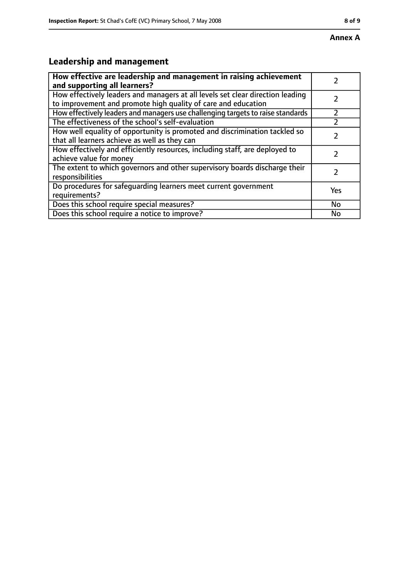# **Leadership and management**

| How effective are leadership and management in raising achievement<br>and supporting all learners?                                              |     |
|-------------------------------------------------------------------------------------------------------------------------------------------------|-----|
| How effectively leaders and managers at all levels set clear direction leading<br>to improvement and promote high quality of care and education |     |
| How effectively leaders and managers use challenging targets to raise standards                                                                 |     |
| The effectiveness of the school's self-evaluation                                                                                               |     |
| How well equality of opportunity is promoted and discrimination tackled so<br>that all learners achieve as well as they can                     |     |
| How effectively and efficiently resources, including staff, are deployed to<br>achieve value for money                                          |     |
| The extent to which governors and other supervisory boards discharge their<br>responsibilities                                                  |     |
| Do procedures for safequarding learners meet current government<br>requirements?                                                                | Yes |
| Does this school require special measures?                                                                                                      | No  |
| Does this school require a notice to improve?                                                                                                   | No  |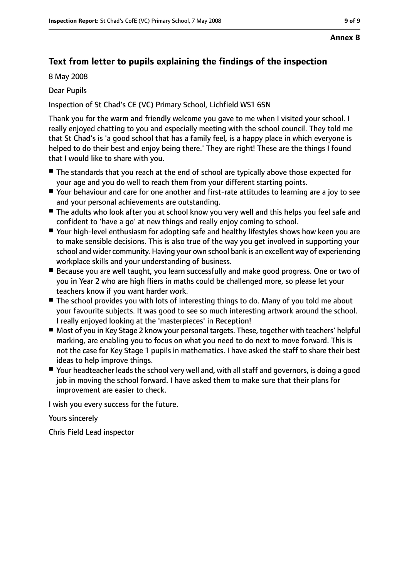# **Text from letter to pupils explaining the findings of the inspection**

8 May 2008

### Dear Pupils

Inspection of St Chad's CE (VC) Primary School, Lichfield WS1 6SN

Thank you for the warm and friendly welcome you gave to me when I visited your school. I really enjoyed chatting to you and especially meeting with the school council. They told me that St Chad's is 'a good school that has a family feel, is a happy place in which everyone is helped to do their best and enjoy being there.' They are right! These are the things I found that I would like to share with you.

- The standards that you reach at the end of school are typically above those expected for your age and you do well to reach them from your different starting points.
- Your behaviour and care for one another and first-rate attitudes to learning are a joy to see and your personal achievements are outstanding.
- The adults who look after you at school know you very well and this helps you feel safe and confident to 'have a go' at new things and really enjoy coming to school.
- Your high-level enthusiasm for adopting safe and healthy lifestyles shows how keen you are to make sensible decisions. This is also true of the way you get involved in supporting your school and wider community. Having your own school bank is an excellent way of experiencing workplace skills and your understanding of business.
- Because you are well taught, you learn successfully and make good progress. One or two of you in Year 2 who are high fliers in maths could be challenged more, so please let your teachers know if you want harder work.
- The school provides you with lots of interesting things to do. Many of you told me about your favourite subjects. It was good to see so much interesting artwork around the school. I really enjoyed looking at the 'masterpieces' in Reception!
- Most of you in Key Stage 2 know your personal targets. These, together with teachers' helpful marking, are enabling you to focus on what you need to do next to move forward. This is not the case for Key Stage 1 pupils in mathematics. I have asked the staff to share their best ideas to help improve things.
- Your headteacher leads the school very well and, with all staff and governors, is doing a good job in moving the school forward. I have asked them to make sure that their plans for improvement are easier to check.

I wish you every success for the future.

Yours sincerely

Chris Field Lead inspector